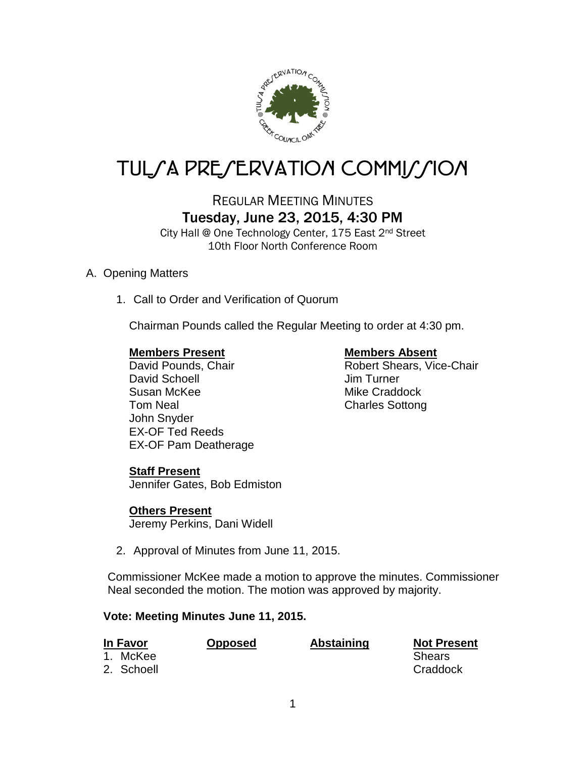

# TUL/A PRE/ERVATION COMMI*J*/ION

## REGULAR MEETING MINUTES Tuesday, June 23, 2015, 4:30 PM

City Hall @ One Technology Center, 175 East 2nd Street 10th Floor North Conference Room

#### A. Opening Matters

1. Call to Order and Verification of Quorum

Chairman Pounds called the Regular Meeting to order at 4:30 pm.

#### **Members Present Members Absent**

David Schoell **David Schoell Jim Turner** Susan McKee Mike Craddock Tom Neal Charles Sottong John Snyder EX-OF Ted Reeds EX-OF Pam Deatherage

David Pounds, Chair **National State Chair** Robert Shears, Vice-Chair

#### **Staff Present**

Jennifer Gates, Bob Edmiston

#### **Others Present**

Jeremy Perkins, Dani Widell

2. Approval of Minutes from June 11, 2015.

Commissioner McKee made a motion to approve the minutes. Commissioner Neal seconded the motion. The motion was approved by majority.

#### **Vote: Meeting Minutes June 11, 2015.**

| In Favor |                        | <b>Opposed</b> | <b>Abstaining</b> | <b>Not Present</b>        |
|----------|------------------------|----------------|-------------------|---------------------------|
|          | 1. McKee<br>2. Schoell |                |                   | <b>Shears</b><br>Craddock |
|          |                        |                |                   |                           |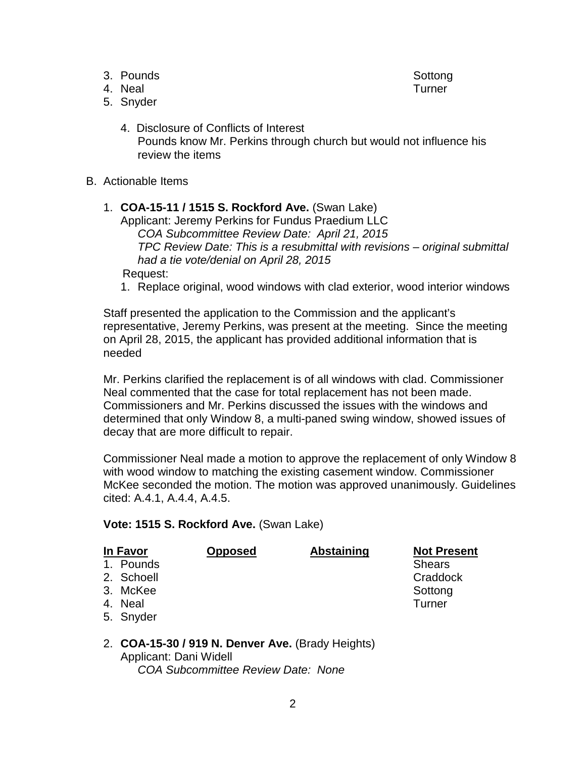- 3. Pounds Sottong Southern School Southern Southern Southern Southern Southern Southern Southern Southern Southern Southern Southern Southern Southern Southern Southern Southern Southern Southern Southern Southern Southern
- 4. Neal Turner

- 5. Snyder
	- 4. Disclosure of Conflicts of Interest Pounds know Mr. Perkins through church but would not influence his review the items
- B. Actionable Items

### 1. **COA-15-11 / 1515 S. Rockford Ave.** (Swan Lake)

Applicant: Jeremy Perkins for Fundus Praedium LLC *COA Subcommittee Review Date: April 21, 2015 TPC Review Date: This is a resubmittal with revisions – original submittal had a tie vote/denial on April 28, 2015*

Request:

1. Replace original, wood windows with clad exterior, wood interior windows

Staff presented the application to the Commission and the applicant's representative, Jeremy Perkins, was present at the meeting. Since the meeting on April 28, 2015, the applicant has provided additional information that is needed

Mr. Perkins clarified the replacement is of all windows with clad. Commissioner Neal commented that the case for total replacement has not been made. Commissioners and Mr. Perkins discussed the issues with the windows and determined that only Window 8, a multi-paned swing window, showed issues of decay that are more difficult to repair.

Commissioner Neal made a motion to approve the replacement of only Window 8 with wood window to matching the existing casement window. Commissioner McKee seconded the motion. The motion was approved unanimously. Guidelines cited: A.4.1, A.4.4, A.4.5.

**Vote: 1515 S. Rockford Ave.** (Swan Lake)

| In Favor |            | <b>Opposed</b> | <b>Abstaining</b> | <b>Not Present</b> |
|----------|------------|----------------|-------------------|--------------------|
|          | 1. Pounds  |                |                   | <b>Shears</b>      |
|          | 2. Schoell |                |                   | Craddock           |
|          | 3. McKee   |                |                   | Sottong            |
|          | 4. Neal    |                |                   | Turner             |
|          | 5. Snyder  |                |                   |                    |

#### 2. **COA-15-30 / 919 N. Denver Ave.** (Brady Heights) Applicant: Dani Widell *COA Subcommittee Review Date: None*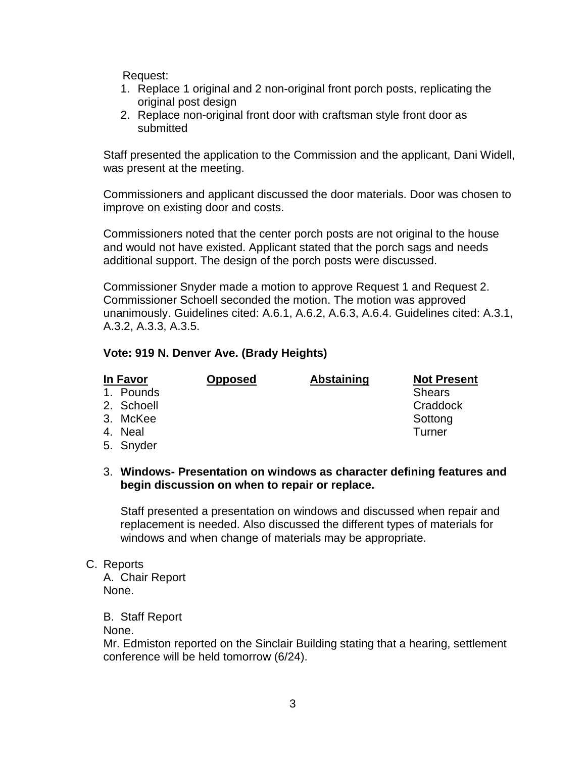Request:

- 1. Replace 1 original and 2 non-original front porch posts, replicating the original post design
- 2. Replace non-original front door with craftsman style front door as submitted

Staff presented the application to the Commission and the applicant, Dani Widell, was present at the meeting.

Commissioners and applicant discussed the door materials. Door was chosen to improve on existing door and costs.

Commissioners noted that the center porch posts are not original to the house and would not have existed. Applicant stated that the porch sags and needs additional support. The design of the porch posts were discussed.

Commissioner Snyder made a motion to approve Request 1 and Request 2. Commissioner Schoell seconded the motion. The motion was approved unanimously. Guidelines cited: A.6.1, A.6.2, A.6.3, A.6.4. Guidelines cited: A.3.1, A.3.2, A.3.3, A.3.5.

#### **Vote: 919 N. Denver Ave. (Brady Heights)**

| In Favor |            | <b>Opposed</b> | <b>Abstaining</b> | <b>Not Present</b> |
|----------|------------|----------------|-------------------|--------------------|
|          | 1. Pounds  |                |                   | <b>Shears</b>      |
|          | 2. Schoell |                |                   | Craddock           |
|          | 3. McKee   |                |                   | Sottong            |
|          | 4. Neal    |                |                   | Turner             |
|          | 5. Snyder  |                |                   |                    |

#### 3. **Windows- Presentation on windows as character defining features and begin discussion on when to repair or replace.**

Staff presented a presentation on windows and discussed when repair and replacement is needed. Also discussed the different types of materials for windows and when change of materials may be appropriate.

C. Reports

A. Chair Report None.

B. Staff Report

None.

Mr. Edmiston reported on the Sinclair Building stating that a hearing, settlement conference will be held tomorrow (6/24).